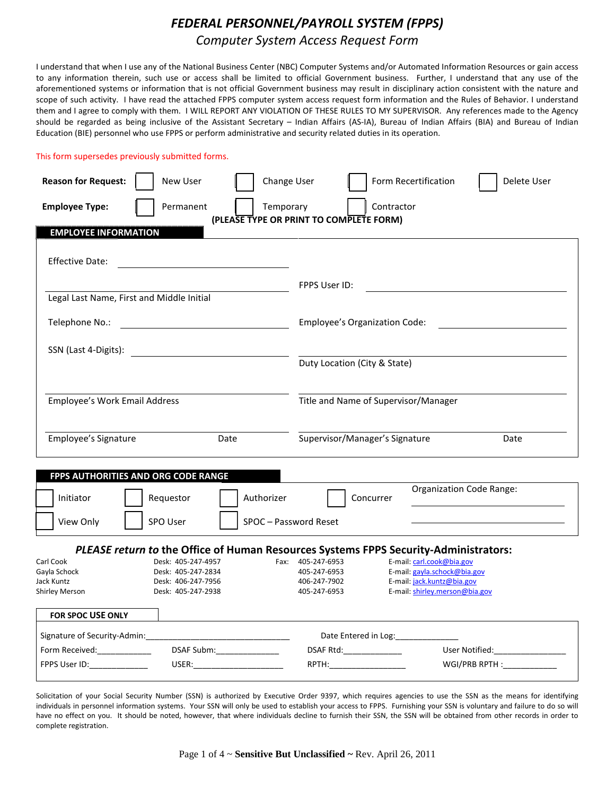# *FEDERAL PERSONNEL/PAYROLL SYSTEM (FPPS) Computer System Access Request Form*

I understand that when I use any of the National Business Center (NBC) Computer Systems and/or Automated Information Resources or gain access to any information therein, such use or access shall be limited to official Government business. Further, I understand that any use of the aforementioned systems or information that is not official Government business may result in disciplinary action consistent with the nature and scope of such activity. I have read the attached FPPS computer system access request form information and the Rules of Behavior. I understand them and I agree to comply with them. I WILL REPORT ANY VIOLATION OF THESE RULES TO MY SUPERVISOR. Any references made to the Agency should be regarded as being inclusive of the Assistant Secretary – Indian Affairs (AS-IA), Bureau of Indian Affairs (BIA) and Bureau of Indian Education (BIE) personnel who use FPPS or perform administrative and security related duties in its operation.

This form supersedes previously submitted forms.

| <b>Reason for Request:</b><br>New User<br><b>Employee Type:</b><br>Permanent                                                                  | Change User<br>Contractor<br>Temporary | Form Recertification<br>Delete User                          |
|-----------------------------------------------------------------------------------------------------------------------------------------------|----------------------------------------|--------------------------------------------------------------|
| (PLEASE TYPE OR PRINT TO COMPLETE FORM)<br><b>EMPLOYEE INFORMATION</b>                                                                        |                                        |                                                              |
| <b>Effective Date:</b>                                                                                                                        |                                        |                                                              |
|                                                                                                                                               | FPPS User ID:                          |                                                              |
| Legal Last Name, First and Middle Initial                                                                                                     |                                        |                                                              |
| Telephone No.:<br><u> 1989 - John Stein, mars and de Branch and de Branch and de Branch and de Branch and de Branch and de Branch a</u>       | Employee's Organization Code:          |                                                              |
|                                                                                                                                               |                                        |                                                              |
| SSN (Last 4-Digits):<br><u> 1980 - Andrea Aonaichte ann an t-Aonaichte ann an t-Aonaichte ann an t-Aonaichte ann an t-Aonaichte ann an t-</u> | Duty Location (City & State)           |                                                              |
|                                                                                                                                               |                                        |                                                              |
| Title and Name of Supervisor/Manager<br>Employee's Work Email Address                                                                         |                                        |                                                              |
|                                                                                                                                               |                                        |                                                              |
| Employee's Signature<br>Date                                                                                                                  | Supervisor/Manager's Signature         | Date                                                         |
|                                                                                                                                               |                                        |                                                              |
| FPPS AUTHORITIES AND ORG CODE RANGE<br>Initiator<br>Requestor<br>Authorizer                                                                   | Concurrer                              | Organization Code Range:                                     |
| View Only<br>SPO User                                                                                                                         | SPOC - Password Reset                  |                                                              |
| PLEASE return to the Office of Human Resources Systems FPPS Security-Administrators:                                                          |                                        |                                                              |
| Carl Cook<br>Desk: 405-247-4957                                                                                                               | Fax: 405-247-6953                      | E-mail: carl.cook@bia.gov                                    |
| Gayla Schock<br>Desk: 405-247-2834                                                                                                            | 405-247-6953                           | E-mail: gayla.schock@bia.gov                                 |
| Jack Kuntz<br>Desk: 406-247-7956<br>Shirley Merson<br>Desk: 405-247-2938                                                                      | 406-247-7902<br>405-247-6953           | E-mail: jack.kuntz@bia.gov<br>E-mail: shirley.merson@bia.gov |
|                                                                                                                                               |                                        |                                                              |
| <b>FOR SPOC USE ONLY</b>                                                                                                                      |                                        |                                                              |
| Signature of Security-Admin:                                                                                                                  | Date Entered in Log:                   |                                                              |
| DSAF Subm:________________<br>Form Received:_____________                                                                                     | DSAF Rtd:______________                | User Notified:                                               |
| FPPS User ID:<br>USER:                                                                                                                        | RPTH:                                  | WGI/PRB RPTH:                                                |

Solicitation of your Social Security Number (SSN) is authorized by Executive Order 9397, which requires agencies to use the SSN as the means for identifying individuals in personnel information systems. Your SSN will only be used to establish your access to FPPS. Furnishing your SSN is voluntary and failure to do so will have no effect on you. It should be noted, however, that where individuals decline to furnish their SSN, the SSN will be obtained from other records in order to complete registration.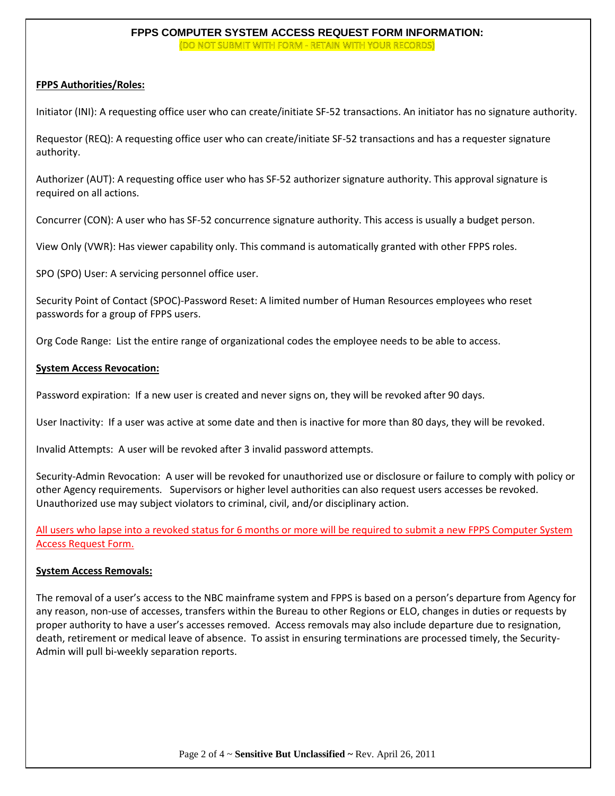# **FPPS COMPUTER SYSTEM ACCESS REQUEST FORM INFORMATION:** (DO NOT SUBMIT WITH FORM - RETAIN WITH YOUR RECORDS)

# **FPPS Authorities/Roles:**

Initiator (INI): A requesting office user who can create/initiate SF-52 transactions. An initiator has no signature authority.

Requestor (REQ): A requesting office user who can create/initiate SF-52 transactions and has a requester signature authority.

Authorizer (AUT): A requesting office user who has SF-52 authorizer signature authority. This approval signature is required on all actions.

Concurrer (CON): A user who has SF-52 concurrence signature authority. This access is usually a budget person.

View Only (VWR): Has viewer capability only. This command is automatically granted with other FPPS roles.

SPO (SPO) User: A servicing personnel office user.

Security Point of Contact (SPOC)-Password Reset: A limited number of Human Resources employees who reset passwords for a group of FPPS users.

Org Code Range: List the entire range of organizational codes the employee needs to be able to access.

# **System Access Revocation:**

Password expiration: If a new user is created and never signs on, they will be revoked after 90 days.

User Inactivity: If a user was active at some date and then is inactive for more than 80 days, they will be revoked.

Invalid Attempts: A user will be revoked after 3 invalid password attempts.

Security-Admin Revocation: A user will be revoked for unauthorized use or disclosure or failure to comply with policy or other Agency requirements. Supervisors or higher level authorities can also request users accesses be revoked. Unauthorized use may subject violators to criminal, civil, and/or disciplinary action.

All users who lapse into a revoked status for 6 months or more will be required to submit a new FPPS Computer System Access Request Form.

# **System Access Removals:**

The removal of a user's access to the NBC mainframe system and FPPS is based on a person's departure from Agency for any reason, non-use of accesses, transfers within the Bureau to other Regions or ELO, changes in duties or requests by proper authority to have a user's accesses removed. Access removals may also include departure due to resignation, death, retirement or medical leave of absence. To assist in ensuring terminations are processed timely, the Security-Admin will pull bi-weekly separation reports.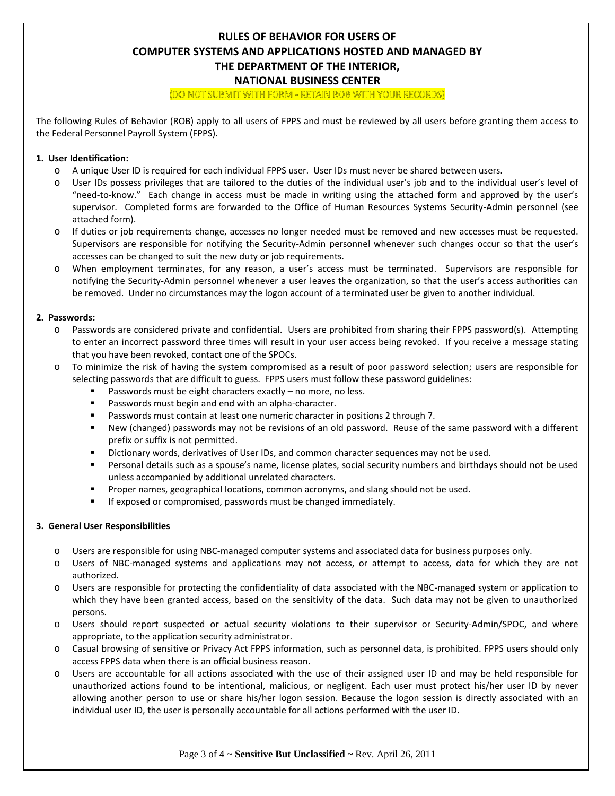# **RULES OF BEHAVIOR FOR USERS OF COMPUTER SYSTEMS AND APPLICATIONS HOSTED AND MANAGED BY THE DEPARTMENT OF THE INTERIOR, NATIONAL BUSINESS CENTER** (DO NOT SUBMIT WITH FORM - RETAIN ROB WITH YOUR RECORDS)

The following Rules of Behavior (ROB) apply to all users of FPPS and must be reviewed by all users before granting them access to the Federal Personnel Payroll System (FPPS).

#### **1. User Identification:**

- o A unique User ID is required for each individual FPPS user. User IDs must never be shared between users.
- o User IDs possess privileges that are tailored to the duties of the individual user's job and to the individual user's level of "need-to-know." Each change in access must be made in writing using the attached form and approved by the user's supervisor. Completed forms are forwarded to the Office of Human Resources Systems Security-Admin personnel (see attached form).
- o If duties or job requirements change, accesses no longer needed must be removed and new accesses must be requested. Supervisors are responsible for notifying the Security-Admin personnel whenever such changes occur so that the user's accesses can be changed to suit the new duty or job requirements.
- o When employment terminates, for any reason, a user's access must be terminated. Supervisors are responsible for notifying the Security-Admin personnel whenever a user leaves the organization, so that the user's access authorities can be removed. Under no circumstances may the logon account of a terminated user be given to another individual.

#### **2. Passwords:**

- o Passwords are considered private and confidential. Users are prohibited from sharing their FPPS password(s). Attempting to enter an incorrect password three times will result in your user access being revoked. If you receive a message stating that you have been revoked, contact one of the SPOCs.
- o To minimize the risk of having the system compromised as a result of poor password selection; users are responsible for selecting passwords that are difficult to guess. FPPS users must follow these password guidelines:
	- Passwords must be eight characters exactly no more, no less.
	- Passwords must begin and end with an alpha-character.
	- Passwords must contain at least one numeric character in positions 2 through 7.
	- New (changed) passwords may not be revisions of an old password. Reuse of the same password with a different prefix or suffix is not permitted.
	- Dictionary words, derivatives of User IDs, and common character sequences may not be used.
	- Personal details such as a spouse's name, license plates, social security numbers and birthdays should not be used unless accompanied by additional unrelated characters.
	- **Proper names, geographical locations, common acronyms, and slang should not be used.**
	- **IF exposed or compromised, passwords must be changed immediately.**

#### **3. General User Responsibilities**

- o Users are responsible for using NBC-managed computer systems and associated data for business purposes only.
- o Users of NBC-managed systems and applications may not access, or attempt to access, data for which they are not authorized.
- o Users are responsible for protecting the confidentiality of data associated with the NBC-managed system or application to which they have been granted access, based on the sensitivity of the data. Such data may not be given to unauthorized persons.
- o Users should report suspected or actual security violations to their supervisor or Security-Admin/SPOC, and where appropriate, to the application security administrator.
- o Casual browsing of sensitive or Privacy Act FPPS information, such as personnel data, is prohibited. FPPS users should only access FPPS data when there is an official business reason.
- o Users are accountable for all actions associated with the use of their assigned user ID and may be held responsible for unauthorized actions found to be intentional, malicious, or negligent. Each user must protect his/her user ID by never allowing another person to use or share his/her logon session. Because the logon session is directly associated with an individual user ID, the user is personally accountable for all actions performed with the user ID.